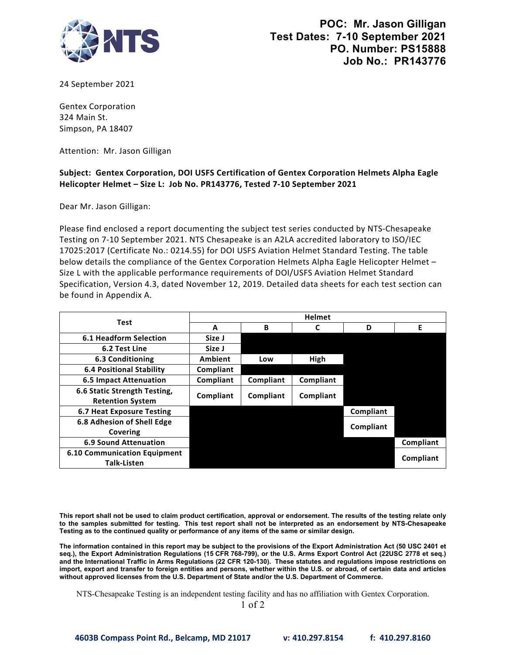

24 September 2021

Gentex Corporation 324 Main St. Simpson, PA 18407

Attention: Mr. Jason Gilligan

## **Helicopter Helmet – Size L: Job No. PR143776, Tested 7‐10 September 2021 Subject: Gentex Corporation, DOI USFS Certification of Gentex Corporation Helmets Alpha Eagle**

Dear Mr. Jason Gilligan:

 Please find enclosed a report documenting the subject test series conducted by NTS‐Chesapeake Testing on 7‐10 September 2021. NTS Chesapeake is an A2LA accredited laboratory to ISO/IEC Specification, Version 4.3, dated November 12, 2019. Detailed data sheets for each test section can 17025:2017 (Certificate No.: 0214.55) for DOI USFS Aviation Helmet Standard Testing. The table below details the compliance of the Gentex Corporation Helmets Alpha Eagle Helicopter Helmet -Size L with the applicable performance requirements of DOI/USFS Aviation Helmet Standard be found in Appendix A.

| <b>Test</b>                                               | <b>Helmet</b>  |           |           |           |           |
|-----------------------------------------------------------|----------------|-----------|-----------|-----------|-----------|
|                                                           | A              | В         |           | D         | Е         |
| <b>6.1 Headform Selection</b>                             | Size J         |           |           |           |           |
| 6.2 Test Line                                             | Size J         |           |           |           |           |
| 6.3 Conditioning                                          | <b>Ambient</b> | Low       | High      |           |           |
| <b>6.4 Positional Stability</b>                           | Compliant      |           |           |           |           |
| <b>6.5 Impact Attenuation</b>                             | Compliant      | Compliant | Compliant |           |           |
| 6.6 Static Strength Testing,<br><b>Retention System</b>   | Compliant      | Compliant | Compliant |           |           |
| <b>6.7 Heat Exposure Testing</b>                          |                |           |           | Compliant |           |
| 6.8 Adhesion of Shell Edge<br>Covering                    |                |           |           | Compliant |           |
| <b>6.9 Sound Attenuation</b>                              |                |           |           |           | Compliant |
| <b>6.10 Communication Equipment</b><br><b>Talk-Listen</b> |                |           |           |           | Compliant |

 **This report shall not be used to claim product certification, approval or endorsement. The results of the testing relate only to the samples submitted for testing. This test report shall not be interpreted as an endorsement by NTS-Chesapeake Testing as to the continued quality or performance of any items of the same or similar design.**

 **The information contained in this report may be subject to the provisions of the Export Administration Act (50 USC 2401 et import, export and transfer to foreign entities and persons, whether within the U.S. or abroad, of certain data and articles seq.), the Export Administration Regulations (15 CFR 768-799), or the U.S. Arms Export Control Act (22USC 2778 et seq.) and the International Traffic in Arms Regulations (22 CFR 120-130). These statutes and regulations impose restrictions on without approved licenses from the U.S. Department of State and/or the U.S. Department of Commerce.**

NTS-Chesapeake Testing is an independent testing facility and has no affiliation with Gentex Corporation.

1 of 2